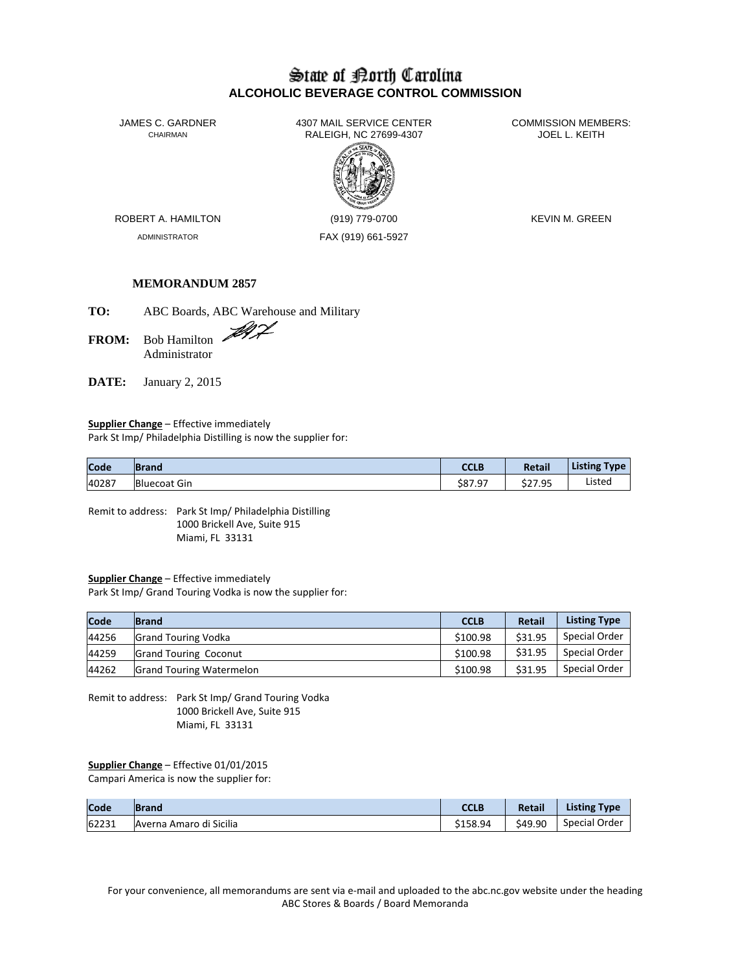## State of Borth Carolina **ALCOHOLIC BEVERAGE CONTROL COMMISSION**

JAMES C. GARDNER 4307 MAIL SERVICE CENTER COMMISSION MEMBERS:<br>CHAIRMAN CHAIRMAN RALEIGH, NC 27699-4307 JOEL L. KEITH RALEIGH, NC 27699-4307



ADMINISTRATOR FAX (919) 661-5927

ROBERT A. HAMILTON (919) 779-0700 KEVIN M. GREEN

### **MEMORANDUM 2857**

**TO:** ABC Boards, ABC Warehouse and Military

**FROM:** Bob Hamilton Administrator

**DATE:** January 2, 2015

**Supplier Change** – Effective immediately Park St Imp/ Philadelphia Distilling is now the supplier for:

| Code  | <b>Brand</b>        | CCLB    | Retail  | <b>Listing Type</b> |
|-------|---------------------|---------|---------|---------------------|
| 40287 | <b>Bluecoat Gin</b> | \$87.97 | \$27.95 | Listed              |

Remit to address: Park St Imp/ Philadelphia Distilling 1000 Brickell Ave, Suite 915 Miami, FL 33131

#### **Supplier Change** – Effective immediately

Park St Imp/ Grand Touring Vodka is now the supplier for:

| Code  | <b>Brand</b>                    | <b>CCLB</b> | <b>Retail</b> | <b>Listing Type</b> |
|-------|---------------------------------|-------------|---------------|---------------------|
| 44256 | <b>Grand Touring Vodka</b>      | \$100.98    | \$31.95       | Special Order       |
| 44259 | <b>Grand Touring Coconut</b>    | \$100.98    | \$31.95       | Special Order       |
| 44262 | <b>Grand Touring Watermelon</b> | \$100.98    | \$31.95       | Special Order       |

Remit to address: Park St Imp/ Grand Touring Vodka 1000 Brickell Ave, Suite 915 Miami, FL 33131

# **Supplier Change** – Effective 01/01/2015

Campari America is now the supplier for:

| Code  | <b>Brand</b>            | CCLB     | <b>Retail</b> | <b>Listing Type</b> |
|-------|-------------------------|----------|---------------|---------------------|
| 62231 | Averna Amaro di Sicilia | \$158.94 | \$49.90       | Special Order       |

For your convenience, all memorandums are sent via e-mail and uploaded to the abc.nc.gov website under the heading ABC Stores & Boards / Board Memoranda